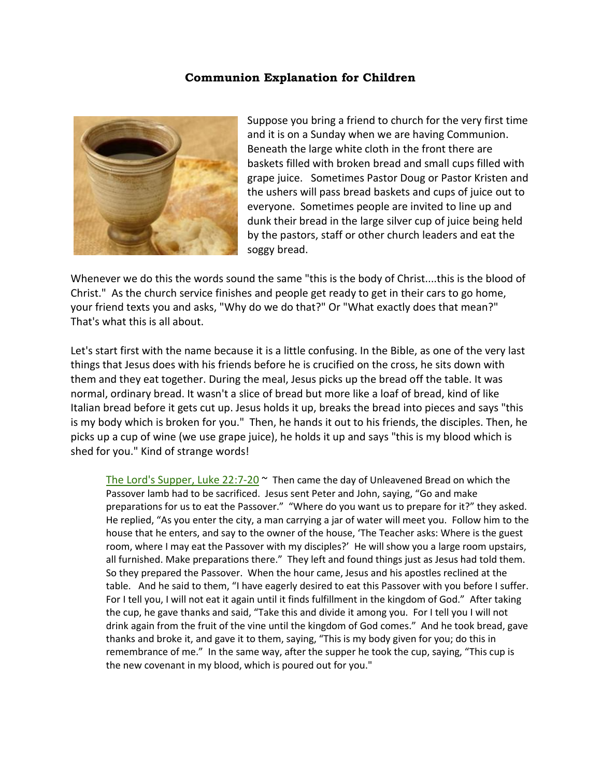## **Communion Explanation for Children**



Suppose you bring a friend to church for the very first time and it is on a Sunday when we are having Communion. Beneath the large white cloth in the front there are baskets filled with broken bread and small cups filled with grape juice. Sometimes Pastor Doug or Pastor Kristen and the ushers will pass bread baskets and cups of juice out to everyone. Sometimes people are invited to line up and dunk their bread in the large silver cup of juice being held by the pastors, staff or other church leaders and eat the soggy bread.

Whenever we do this the words sound the same "this is the body of Christ....this is the blood of Christ." As the church service finishes and people get ready to get in their cars to go home, your friend texts you and asks, "Why do we do that?" Or "What exactly does that mean?" That's what this is all about.

Let's start first with the name because it is a little confusing. In the Bible, as one of the very last things that Jesus does with his friends before he is crucified on the cross, he sits down with them and they eat together. During the meal, Jesus picks up the bread off the table. It was normal, ordinary bread. It wasn't a slice of bread but more like a loaf of bread, kind of like Italian bread before it gets cut up. Jesus holds it up, breaks the bread into pieces and says "this is my body which is broken for you." Then, he hands it out to his friends, the disciples. Then, he picks up a cup of wine (we use grape juice), he holds it up and says "this is my blood which is shed for you." Kind of strange words!

The Lord's Supper, Luke  $22:7-20$   $\sim$  Then came the day of Unleavened Bread on which the Passover lamb had to be sacrificed. Jesus sent Peter and John, saying, "Go and make preparations for us to eat the Passover." "Where do you want us to prepare for it?" they asked. He replied, "As you enter the city, a man carrying a jar of water will meet you. Follow him to the house that he enters, and say to the owner of the house, 'The Teacher asks: Where is the guest room, where I may eat the Passover with my disciples?' He will show you a large room upstairs, all furnished. Make preparations there." They left and found things just as Jesus had told them. So they prepared the Passover. When the hour came, Jesus and his apostles reclined at the table. And he said to them, "I have eagerly desired to eat this Passover with you before I suffer. For I tell you, I will not eat it again until it finds fulfillment in the kingdom of God." After taking the cup, he gave thanks and said, "Take this and divide it among you. For I tell you I will not drink again from the fruit of the vine until the kingdom of God comes." And he took bread, gave thanks and broke it, and gave it to them, saying, "This is my body given for you; do this in remembrance of me." In the same way, after the supper he took the cup, saying, "This cup is the new covenant in my blood, which is poured out for you."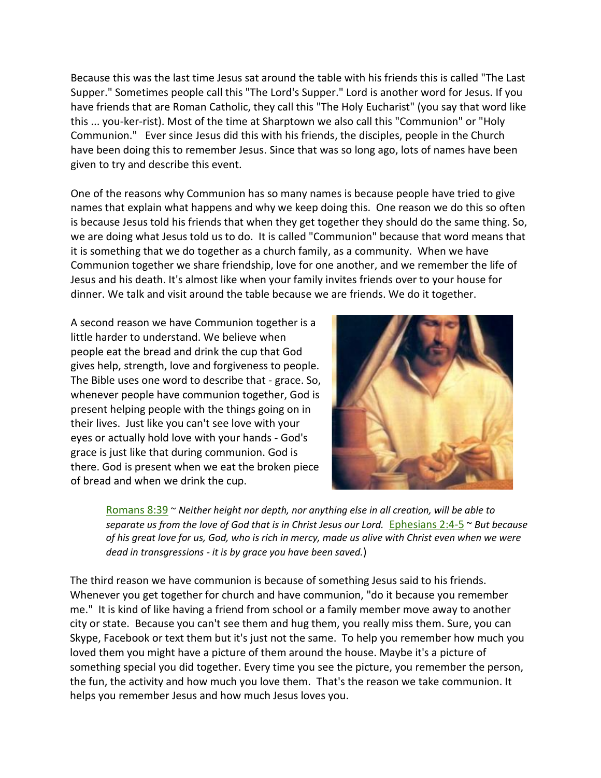Because this was the last time Jesus sat around the table with his friends this is called "The Last Supper." Sometimes people call this "The Lord's Supper." Lord is another word for Jesus. If you have friends that are Roman Catholic, they call this "The Holy Eucharist" (you say that word like this ... you-ker-rist). Most of the time at Sharptown we also call this "Communion" or "Holy Communion." Ever since Jesus did this with his friends, the disciples, people in the Church have been doing this to remember Jesus. Since that was so long ago, lots of names have been given to try and describe this event.

One of the reasons why Communion has so many names is because people have tried to give names that explain what happens and why we keep doing this. One reason we do this so often is because Jesus told his friends that when they get together they should do the same thing. So, we are doing what Jesus told us to do. It is called "Communion" because that word means that it is something that we do together as a church family, as a community. When we have Communion together we share friendship, love for one another, and we remember the life of Jesus and his death. It's almost like when your family invites friends over to your house for dinner. We talk and visit around the table because we are friends. We do it together.

A second reason we have Communion together is a little harder to understand. We believe when people eat the bread and drink the cup that God gives help, strength, love and forgiveness to people. The Bible uses one word to describe that - grace. So, whenever people have communion together, God is present helping people with the things going on in their lives. Just like you can't see love with your eyes or actually hold love with your hands - God's grace is just like that during communion. God is there. God is present when we eat the broken piece of bread and when we drink the cup.



[Romans 8:39](http://www.biblegateway.com/passage/?search=Romans+8:39&version=NLT) ~ *Neither height nor depth, nor anything else in all creation, will be able to separate us from the love of God that is in Christ Jesus our Lord.* [Ephesians 2:4-5](http://www.biblegateway.com/passage/?search=Ephesians+2:4&version=NLT) ~ *But because of his great love for us, God, who is rich in mercy, made us alive with Christ even when we were dead in transgressions - it is by grace you have been saved.*)

The third reason we have communion is because of something Jesus said to his friends. Whenever you get together for church and have communion, "do it because you remember me." It is kind of like having a friend from school or a family member move away to another city or state. Because you can't see them and hug them, you really miss them. Sure, you can Skype, Facebook or text them but it's just not the same. To help you remember how much you loved them you might have a picture of them around the house. Maybe it's a picture of something special you did together. Every time you see the picture, you remember the person, the fun, the activity and how much you love them. That's the reason we take communion. It helps you remember Jesus and how much Jesus loves you.